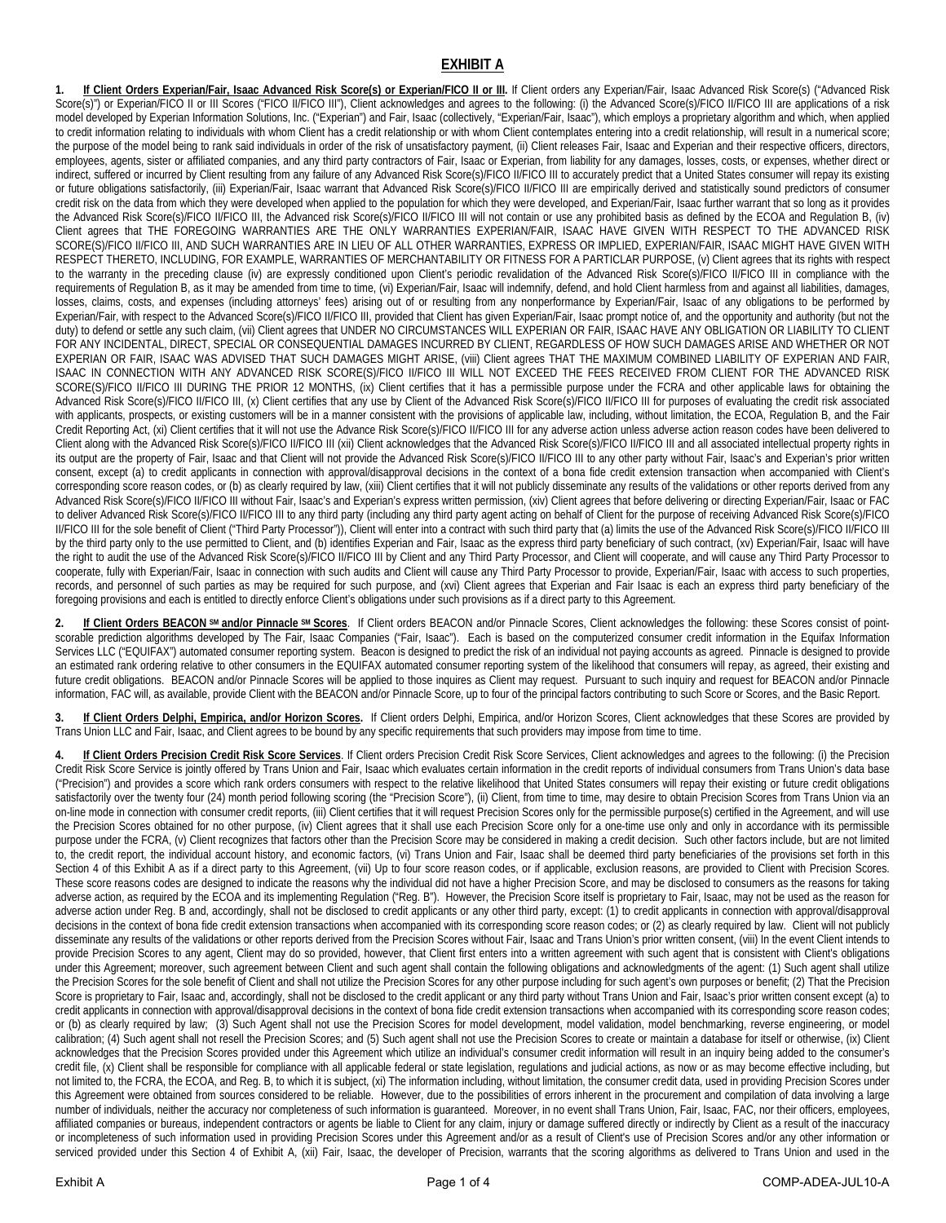## **EXHIBIT A**

If Client Orders Experian/Fair, Isaac Advanced Risk Score(s) or Experian/FICO II or III. If Client orders any Experian/Fair, Isaac Advanced Risk Score(s) ("Advanced Risk Score(s)") or Experian/FICO II or III Scores ('FICO II/FICO III"), Client acknowledges and agrees to the following: (i) the Advanced Score(s)/FICO II/FICO III are applications of a risk model developed by Experian Information Solutions, Inc. ("Experian") and Fair, Isaac (collectively, "Experian/Fair, Isaac"), which employs a proprietary algorithm and which, when applied to credit information relating to individuals with whom Client has a credit relationship or with whom Client contemplates entering into a credit relationship, will result in a numerical score; the purpose of the model being to rank said individuals in order of the risk of unsatisfactory payment, (ii) Client releases Fair, Isaac and Experian and their respective officers, directors, employees, agents, sister or affiliated companies, and any third party contractors of Fair, Isaac or Experian, from liability for any damages, losses, costs, or expenses, whether direct or indirect, suffered or incurred by Client resulting from any failure of any Advanced Risk Score(s)/FICO II/FICO III to accurately predict that a United States consumer will repay its existing or future obligations satisfactorily, (iii) Experian/Fair, Isaac warrant that Advanced Risk Score(s)/FICO II/FICO III are empirically derived and statistically sound predictors of consumer credit risk on the data from which they were developed when applied to the population for which they were developed, and Experian/Fair, Isaac further warrant that so long as it provides the Advanced Risk Score(s)/FICO II/FICO III, the Advanced risk Score(s)/FICO II/FICO III will not contain or use any prohibited basis as defined by the ECOA and Regulation B, (iv) Client agrees that THE FOREGOING WARRANTIES ARE THE ONLY WARRANTIES EXPERIAN/FAIR, ISAAC HAVE GIVEN WITH RESPECT TO THE ADVANCED RISK SCORE(S)/FICO II/FICO III, AND SUCH WARRANTIES ARE IN LIEU OF ALL OTHER WARRANTIES, EXPRESS OR IMPLIED, EXPERIAN/FAIR, ISAAC MIGHT HAVE GIVEN WITH RESPECT THERETO, INCLUDING, FOR EXAMPLE, WARRANTIES OF MERCHANTABILITY OR FITNESS FOR A PARTICLAR PURPOSE, (v) Client agrees that its rights with respect to the warranty in the preceding clause (iv) are expressly conditioned upon Client's periodic revalidation of the Advanced Risk Score(s)/FICO II/FICO III in compliance with the requirements of Regulation B, as it may be amended from time to time, (vi) Experian/Fair, Isaac will indemnify, defend, and hold Client harmless from and against all liabilities, damages, losses, claims, costs, and expenses (including attorneys' fees) arising out of or resulting from any nonperformance by Experian/Fair, Isaac of any obligations to be performed by Experian/Fair, with respect to the Advanced Score(s)/FICO II/FICO III, provided that Client has given Experian/Fair, Isaac prompt notice of, and the opportunity and authority (but not the duty) to defend or settle any such claim, (vii) Client agrees that UNDER NO CIRCUMSTANCES WILL EXPERIAN OR FAIR, ISAAC HAVE ANY OBLIGATION OR LIABILITY TO CLIENT FOR ANY INCIDENTAL, DIRECT, SPECIAL OR CONSEQUENTIAL DAMAGES INCURRED BY CLIENT, REGARDLESS OF HOW SUCH DAMAGES ARISE AND WHETHER OR NOT EXPERIAN OR FAIR, ISAAC WAS ADVISED THAT SUCH DAMAGES MIGHT ARISE, (viii) Client agrees THAT THE MAXIMUM COMBINED LIABILITY OF EXPERIAN AND FAIR, ISAAC IN CONNECTION WITH ANY ADVANCED RISK SCORE(S)/FICO II/FICO III WILL NOT EXCEED THE FEES RECEIVED FROM CLIENT FOR THE ADVANCED RISK SCORE(S)/FICO II/FICO III DURING THE PRIOR 12 MONTHS, (ix) Client certifies that it has a permissible purpose under the FCRA and other applicable laws for obtaining the Advanced Risk Score(s)/FICO II/FICO III, (x) Client certifies that any use by Client of the Advanced Risk Score(s)/FICO II/FICO III for purposes of evaluating the credit risk associated with applicants, prospects, or existing customers will be in a manner consistent with the provisions of applicable law, including, without limitation, the ECOA, Regulation B, and the Fair Credit Reporting Act, (xi) Client certifies that it will not use the Advance Risk Score(s)/FICO II/FICO III for any adverse action unless adverse action reason codes have been delivered to Client along with the Advanced Risk Score(s)/FICO II/FICO III (xii) Client acknowledges that the Advanced Risk Score(s)/FICO II/FICO III and all associated intellectual property rights in its output are the property of Fair, Isaac and that Client will not provide the Advanced Risk Score(s)/FICO II/FICO III to any other party without Fair, Isaac's and Experian's prior written consent, except (a) to credit applicants in connection with approval/disapproval decisions in the context of a bona fide credit extension transaction when accompanied with Client's corresponding score reason codes, or (b) as clearly required by law, (xiii) Client certifies that it will not publicly disseminate any results of the validations or other reports derived from any Advanced Risk Score(s)/FICO II/FICO III without Fair, Isaac's and Experian's express written permission, (xiv) Client agrees that before delivering or directing Experian/Fair, Isaac or FAC to deliver Advanced Risk Score(s)/FICO II/FICO III to any third party (including any third party agent acting on behalf of Client for the purpose of receiving Advanced Risk Score(s)/FICO II/FICO III for the sole benefit of Client ("Third Party Processor")), Client will enter into a contract with such third party that (a) limits the use of the Advanced Risk Score(s)/FICO II/FICO III by the third party only to the use permitted to Client, and (b) identifies Experian and Fair, Isaac as the express third party beneficiary of such contract, (xv) Experian/Fair, Isaac will have the right to audit the use of the Advanced Risk Score(s)/FICO II/FICO III by Client and any Third Party Processor, and Client will cooperate, and will cause any Third Party Processor to cooperate, fully with Experian/Fair, Isaac in connection with such audits and Client will cause any Third Party Processor to provide, Experian/Fair, Isaac with access to such properties, records, and personnel of such parties as may be required for such purpose, and (xvi) Client agrees that Experian and Fair Isaac is each an express third party beneficiary of the foregoing provisions and each is entitled to directly enforce Client's obligations under such provisions as if a direct party to this Agreement.

If Client Orders BEACON SM and/or Pinnacle SM Scores. If Client orders BEACON and/or Pinnacle Scores, Client acknowledges the following: these Scores consist of pointscorable prediction algorithms developed by The Fair, Isaac Companies ("Fair, Isaac"). Each is based on the computerized consumer credit information in the Equifax Information Services LLC ("EQUIFAX") automated consumer reporting system. Beacon is designed to predict the risk of an individual not paying accounts as agreed. Pinnacle is designed to provide an estimated rank ordering relative to other consumers in the EQUIFAX automated consumer reporting system of the likelihood that consumers will repay, as agreed, their existing and future credit obligations. BEACON and/or Pinnacle Scores will be applied to those inquires as Client may request. Pursuant to such inquiry and request for BEACON and/or Pinnacle information, FAC will, as available, provide Client with the BEACON and/or Pinnacle Score, up to four of the principal factors contributing to such Score or Scores, and the Basic Report.

**3. If Client Orders Delphi, Empirica, and/or Horizon Scores.** If Client orders Delphi, Empirica, and/or Horizon Scores, Client acknowledges that these Scores are provided by Trans Union LLC and Fair, Isaac, and Client agrees to be bound by any specific requirements that such providers may impose from time to time.

**4. If Client Orders Precision Credit Risk Score Services**. If Client orders Precision Credit Risk Score Services, Client acknowledges and agrees to the following: (i) the Precision Credit Risk Score Service is jointly offered by Trans Union and Fair, Isaac which evaluates certain information in the credit reports of individual consumers from Trans Union's data base ("Precision") and provides a score which rank orders consumers with respect to the relative likelihood that United States consumers will repay their existing or future credit obligations satisfactorily over the twenty four (24) month period following scoring (the "Precision Score"), (ii) Client, from time to time, may desire to obtain Precision Scores from Trans Union via an on-line mode in connection with consumer credit reports, (iii) Client certifies that it will request Precision Scores only for the permissible purpose(s) certified in the Agreement, and will use the Precision Scores obtained for no other purpose, (iv) Client agrees that it shall use each Precision Score only for a one-time use only and only in accordance with its permissible purpose under the FCRA, (v) Client recognizes that factors other than the Precision Score may be considered in making a credit decision. Such other factors include, but are not limited to, the credit report, the individual account history, and economic factors, (vi) Trans Union and Fair, Isaac shall be deemed third party beneficiaries of the provisions set forth in this Section 4 of this Exhibit A as if a direct party to this Agreement, (vii) Up to four score reason codes, or if applicable, exclusion reasons, are provided to Client with Precision Scores. These score reasons codes are designed to indicate the reasons why the individual did not have a higher Precision Score, and may be disclosed to consumers as the reasons for taking adverse action, as required by the ECOA and its implementing Regulation ("Reg. B"). However, the Precision Score itself is proprietary to Fair, Isaac, may not be used as the reason for adverse action under Reg. B and, accordingly, shall not be disclosed to credit applicants or any other third party, except: (1) to credit applicants in connection with approval/disapproval decisions in the context of bona fide credit extension transactions when accompanied with its corresponding score reason codes; or (2) as clearly required by law. Client will not publicly disseminate any results of the validations or other reports derived from the Precision Scores without Fair, Isaac and Trans Union's prior written consent, (viii) In the event Client intends to provide Precision Scores to any agent, Client may do so provided, however, that Client first enters into a written agreement with such agent that is consistent with Client's obligations under this Agreement; moreover, such agreement between Client and such agent shall contain the following obligations and acknowledgments of the agent: (1) Such agent shall utilize the Precision Scores for the sole benefit of Client and shall not utilize the Precision Scores for any other purpose including for such agent's own purposes or benefit; (2) That the Precision Score is proprietary to Fair, Isaac and, accordingly, shall not be disclosed to the credit applicant or any third party without Trans Union and Fair, Isaac's prior written consent except (a) to credit applicants in connection with approval/disapproval decisions in the context of bona fide credit extension transactions when accompanied with its corresponding score reason codes; or (b) as clearly required by law; (3) Such Agent shall not use the Precision Scores for model development, model validation, model benchmarking, reverse engineering, or model calibration; (4) Such agent shall not resell the Precision Scores; and (5) Such agent shall not use the Precision Scores to create or maintain a database for itself or otherwise, (ix) Client acknowledges that the Precision Scores provided under this Agreement which utilize an individual's consumer credit information will result in an inquiry being added to the consumer's credit file, (x) Client shall be responsible for compliance with all applicable federal or state legislation, regulations and judicial actions, as now or as may become effective including, but not limited to, the FCRA, the ECOA, and Reg. B, to which it is subject, (xi) The information including, without limitation, the consumer credit data, used in providing Precision Scores under this Agreement were obtained from sources considered to be reliable. However, due to the possibilities of errors inherent in the procurement and compilation of data involving a large number of individuals, neither the accuracy nor completeness of such information is quaranteed. Moreover, in no event shall Trans Union, Fair, Isaac, FAC, nor their officers, employees, affiliated companies or bureaus, independent contractors or agents be liable to Client for any claim, injury or damage suffered directly or indirectly by Client as a result of the inaccuracy or incompleteness of such information used in providing Precision Scores under this Agreement and/or as a result of Client's use of Precision Scores and/or any other information or serviced provided under this Section 4 of Exhibit A, (xii) Fair, Isaac, the developer of Precision, warrants that the scoring algorithms as delivered to Trans Union and used in the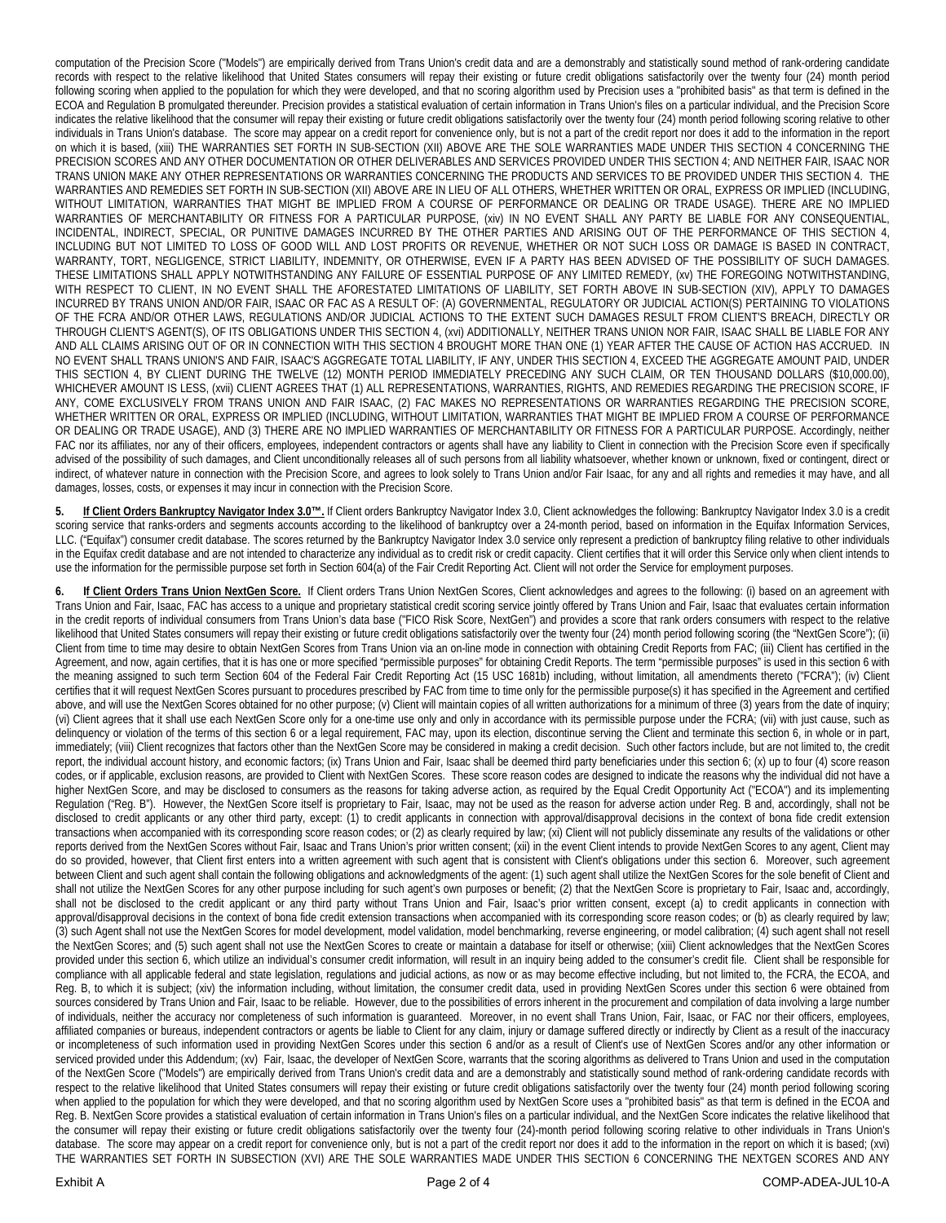computation of the Precision Score ("Models") are empirically derived from Trans Union's credit data and are a demonstrably and statistically sound method of rank-ordering candidate records with respect to the relative likelihood that United States consumers will repay their existing or future credit obligations satisfactorily over the twenty four (24) month period following scoring when applied to the population for which they were developed, and that no scoring algorithm used by Precision uses a "prohibited basis" as that term is defined in the ECOA and Regulation B promulgated thereunder. Precision provides a statistical evaluation of certain information in Trans Union's files on a particular individual, and the Precision Score indicates the relative likelihood that the consumer will repay their existing or future credit obligations satisfactorily over the twenty four (24) month period following scoring relative to other individuals in Trans Union's database. The score may appear on a credit report for convenience only, but is not a part of the credit report nor does it add to the information in the report on which it is based, (xiii) THE WARRANTIES SET FORTH IN SUB-SECTION (XII) ABOVE ARE THE SOLE WARRANTIES MADE UNDER THIS SECTION 4 CONCERNING THE PRECISION SCORES AND ANY OTHER DOCUMENTATION OR OTHER DELIVERABLES AND SERVICES PROVIDED UNDER THIS SECTION 4; AND NEITHER FAIR, ISAAC NOR TRANS UNION MAKE ANY OTHER REPRESENTATIONS OR WARRANTIES CONCERNING THE PRODUCTS AND SERVICES TO BE PROVIDED UNDER THIS SECTION 4. THE WARRANTIES AND REMEDIES SET FORTH IN SUB-SECTION (XII) ABOVE ARE IN LIEU OF ALL OTHERS, WHETHER WRITTEN OR ORAL, EXPRESS OR IMPLIED (INCLUDING, WITHOUT LIMITATION, WARRANTIES THAT MIGHT BE IMPLIED FROM A COURSE OF PERFORMANCE OR DEALING OR TRADE USAGE). THERE ARE NO IMPLIED WARRANTIES OF MERCHANTABILITY OR FITNESS FOR A PARTICULAR PURPOSE, (xiv) IN NO EVENT SHALL ANY PARTY BE LIABLE FOR ANY CONSEQUENTIAL, INCIDENTAL, INDIRECT, SPECIAL, OR PUNITIVE DAMAGES INCURRED BY THE OTHER PARTIES AND ARISING OUT OF THE PERFORMANCE OF THIS SECTION 4, INCLUDING BUT NOT LIMITED TO LOSS OF GOOD WILL AND LOST PROFITS OR REVENUE, WHETHER OR NOT SUCH LOSS OR DAMAGE IS BASED IN CONTRACT, WARRANTY, TORT, NEGLIGENCE, STRICT LIABILITY, INDEMNITY, OR OTHERWISE, EVEN IF A PARTY HAS BEEN ADVISED OF THE POSSIBILITY OF SUCH DAMAGES. THESE LIMITATIONS SHALL APPLY NOTWITHSTANDING ANY FAILURE OF ESSENTIAL PURPOSE OF ANY LIMITED REMEDY, (xv) THE FOREGOING NOTWITHSTANDING, WITH RESPECT TO CLIENT, IN NO EVENT SHALL THE AFORESTATED LIMITATIONS OF LIABILITY, SET FORTH ABOVE IN SUB-SECTION (XIV), APPLY TO DAMAGES INCURRED BY TRANS UNION AND/OR FAIR, ISAAC OR FAC AS A RESULT OF: (A) GOVERNMENTAL, REGULATORY OR JUDICIAL ACTION(S) PERTAINING TO VIOLATIONS OF THE FCRA AND/OR OTHER LAWS, REGULATIONS AND/OR JUDICIAL ACTIONS TO THE EXTENT SUCH DAMAGES RESULT FROM CLIENT'S BREACH, DIRECTLY OR THROUGH CLIENT'S AGENT(S), OF ITS OBLIGATIONS UNDER THIS SECTION 4, (xvi) ADDITIONALLY, NEITHER TRANS UNION NOR FAIR, ISAAC SHALL BE LIABLE FOR ANY AND ALL CLAIMS ARISING OUT OF OR IN CONNECTION WITH THIS SECTION 4 BROUGHT MORE THAN ONE (1) YEAR AFTER THE CAUSE OF ACTION HAS ACCRUED. IN NO EVENT SHALL TRANS UNION'S AND FAIR, ISAAC'S AGGREGATE TOTAL LIABILITY, IF ANY, UNDER THIS SECTION 4, EXCEED THE AGGREGATE AMOUNT PAID, UNDER THIS SECTION 4, BY CLIENT DURING THE TWELVE (12) MONTH PERIOD IMMEDIATELY PRECEDING ANY SUCH CLAIM, OR TEN THOUSAND DOLLARS (\$10,000.00), WHICHEVER AMOUNT IS LESS, (xvii) CLIENT AGREES THAT (1) ALL REPRESENTATIONS, WARRANTIES, RIGHTS, AND REMEDIES REGARDING THE PRECISION SCORE, IF ANY, COME EXCLUSIVELY FROM TRANS UNION AND FAIR ISAAC, (2) FAC MAKES NO REPRESENTATIONS OR WARRANTIES REGARDING THE PRECISION SCORE, WHETHER WRITTEN OR ORAL, EXPRESS OR IMPLIED (INCLUDING, WITHOUT LIMITATION, WARRANTIES THAT MIGHT BE IMPLIED FROM A COURSE OF PERFORMANCE OR DEALING OR TRADE USAGE), AND (3) THERE ARE NO IMPLIED WARRANTIES OF MERCHANTABILITY OR FITNESS FOR A PARTICULAR PURPOSE. Accordingly, neither FAC nor its affiliates, nor any of their officers, employees, independent contractors or agents shall have any liability to Client in connection with the Precision Score even if specifically advised of the possibility of such damages, and Client unconditionally releases all of such persons from all liability whatsoever, whether known or unknown, fixed or contingent, direct or indirect, of whatever nature in connection with the Precision Score, and agrees to look solely to Trans Union and/or Fair Isaac, for any and all rights and remedies it may have, and all damages, losses, costs, or expenses it may incur in connection with the Precision Score.

**If Client Orders Bankruptcy Navigator Index 3.0™.** If Client orders Bankruptcy Navigator Index 3.0, Client acknowledges the following: Bankruptcy Navigator Index 3.0 is a credit scoring service that ranks-orders and segments accounts according to the likelihood of bankruptcy over a 24-month period, based on information in the Equifax Information Services, LLC. ("Equifax") consumer credit database. The scores returned by the Bankruptcy Navigator Index 3.0 service only represent a prediction of bankruptcy filing relative to other individuals in the Equifax credit database and are not intended to characterize any individual as to credit risk or credit capacity. Client certifies that it will order this Service only when client intends to use the information for the permissible purpose set forth in Section 604(a) of the Fair Credit Reporting Act. Client will not order the Service for employment purposes.

**6. If Client Orders Trans Union NextGen Score.** If Client orders Trans Union NextGen Scores, Client acknowledges and agrees to the following: (i) based on an agreement with Trans Union and Fair, Isaac, FAC has access to a unique and proprietary statistical credit scoring service jointly offered by Trans Union and Fair, Isaac that evaluates certain information in the credit reports of individual consumers from Trans Union's data base ("FICO Risk Score, NextGen") and provides a score that rank orders consumers with respect to the relative likelihood that United States consumers will repay their existing or future credit obligations satisfactorily over the twenty four (24) month period following scoring (the "NextGen Score"); (ii) Client from time to time may desire to obtain NextGen Scores from Trans Union via an on-line mode in connection with obtaining Credit Reports from FAC; (iii) Client has certified in the Agreement, and now, again certifies, that it is has one or more specified "permissible purposes" for obtaining Credit Reports. The term "permissible purposes" is used in this section 6 with the meaning assigned to such term Section 604 of the Federal Fair Credit Reporting Act (15 USC 1681b) including, without limitation, all amendments thereto ("FCRA"); (iv) Client certifies that it will request NextGen Scores pursuant to procedures prescribed by FAC from time to time only for the permissible purpose(s) it has specified in the Agreement and certified above, and will use the NextGen Scores obtained for no other purpose; (v) Client will maintain copies of all written authorizations for a minimum of three (3) years from the date of inquiry; (vi) Client agrees that it shall use each NextGen Score only for a one-time use only and only in accordance with its permissible purpose under the FCRA; (vii) with just cause, such as delinquency or violation of the terms of this section 6 or a legal requirement, FAC may, upon its election, discontinue serving the Client and terminate this section 6, in whole or in part, immediately; (viii) Client recognizes that factors other than the NextGen Score may be considered in making a credit decision. Such other factors include, but are not limited to, the credit report, the individual account history, and economic factors; (ix) Trans Union and Fair, Isaac shall be deemed third party beneficiaries under this section 6; (x) up to four (4) score reason codes, or if applicable, exclusion reasons, are provided to Client with NextGen Scores. These score reason codes are designed to indicate the reasons why the individual did not have a higher NextGen Score, and may be disclosed to consumers as the reasons for taking adverse action, as required by the Equal Credit Opportunity Act ("ECOA") and its implementing Regulation ("Reg. B"). However, the NextGen Score itself is proprietary to Fair, Isaac, may not be used as the reason for adverse action under Reg. B and, accordingly, shall not be disclosed to credit applicants or any other third party, except: (1) to credit applicants in connection with approval/disapproval decisions in the context of bona fide credit extension transactions when accompanied with its corresponding score reason codes; or (2) as clearly required by law; (xi) Client will not publicly disseminate any results of the validations or other reports derived from the NextGen Scores without Fair, Isaac and Trans Union's prior written consent; (xii) in the event Client intends to provide NextGen Scores to any agent, Client may do so provided, however, that Client first enters into a written agreement with such agent that is consistent with Client's obligations under this section 6. Moreover, such agreement between Client and such agent shall contain the following obligations and acknowledgments of the agent: (1) such agent shall utilize the NextGen Scores for the sole benefit of Client and shall not utilize the NextGen Scores for any other purpose including for such agent's own purposes or benefit; (2) that the NextGen Score is proprietary to Fair, Isaac and, accordingly, shall not be disclosed to the credit applicant or any third party without Trans Union and Fair, Isaac's prior written consent, except (a) to credit applicants in connection with approval/disapproval decisions in the context of bona fide credit extension transactions when accompanied with its corresponding score reason codes; or (b) as clearly required by law; (3) such Agent shall not use the NextGen Scores for model development, model validation, model benchmarking, reverse engineering, or model calibration; (4) such agent shall not resell the NextGen Scores; and (5) such agent shall not use the NextGen Scores to create or maintain a database for itself or otherwise; (xiii) Client acknowledges that the NextGen Scores provided under this section 6, which utilize an individual's consumer credit information, will result in an inquiry being added to the consumer's credit file. Client shall be responsible for compliance with all applicable federal and state legislation, regulations and judicial actions, as now or as may become effective including, but not limited to, the FCRA, the ECOA, and Reg. B, to which it is subject; (xiv) the information including, without limitation, the consumer credit data, used in providing NextGen Scores under this section 6 were obtained from sources considered by Trans Union and Fair, Isaac to be reliable. However, due to the possibilities of errors inherent in the procurement and compilation of data involving a large number of individuals, neither the accuracy nor completeness of such information is guaranteed. Moreover, in no event shall Trans Union, Fair, Isaac, or FAC nor their officers, employees, affiliated companies or bureaus, independent contractors or agents be liable to Client for any claim, injury or damage suffered directly or indirectly by Client as a result of the inaccuracy or incompleteness of such information used in providing NextGen Scores under this section 6 and/or as a result of Client's use of NextGen Scores and/or any other information or serviced provided under this Addendum; (xv) Fair, Isaac, the developer of NextGen Score, warrants that the scoring algorithms as delivered to Trans Union and used in the computation of the NextGen Score ("Models") are empirically derived from Trans Union's credit data and are a demonstrably and statistically sound method of rank-ordering candidate records with respect to the relative likelihood that United States consumers will repay their existing or future credit obligations satisfactorily over the twenty four (24) month period following scoring when applied to the population for which they were developed, and that no scoring algorithm used by NextGen Score uses a "prohibited basis" as that term is defined in the ECOA and Reg. B. NextGen Score provides a statistical evaluation of certain information in Trans Union's files on a particular individual, and the NextGen Score indicates the relative likelihood that the consumer will repay their existing or future credit obligations satisfactorily over the twenty four (24)-month period following scoring relative to other individuals in Trans Union's database. The score may appear on a credit report for convenience only, but is not a part of the credit report nor does it add to the information in the report on which it is based; (xvi) THE WARRANTIES SET FORTH IN SUBSECTION (XVI) ARE THE SOLE WARRANTIES MADE UNDER THIS SECTION 6 CONCERNING THE NEXTGEN SCORES AND ANY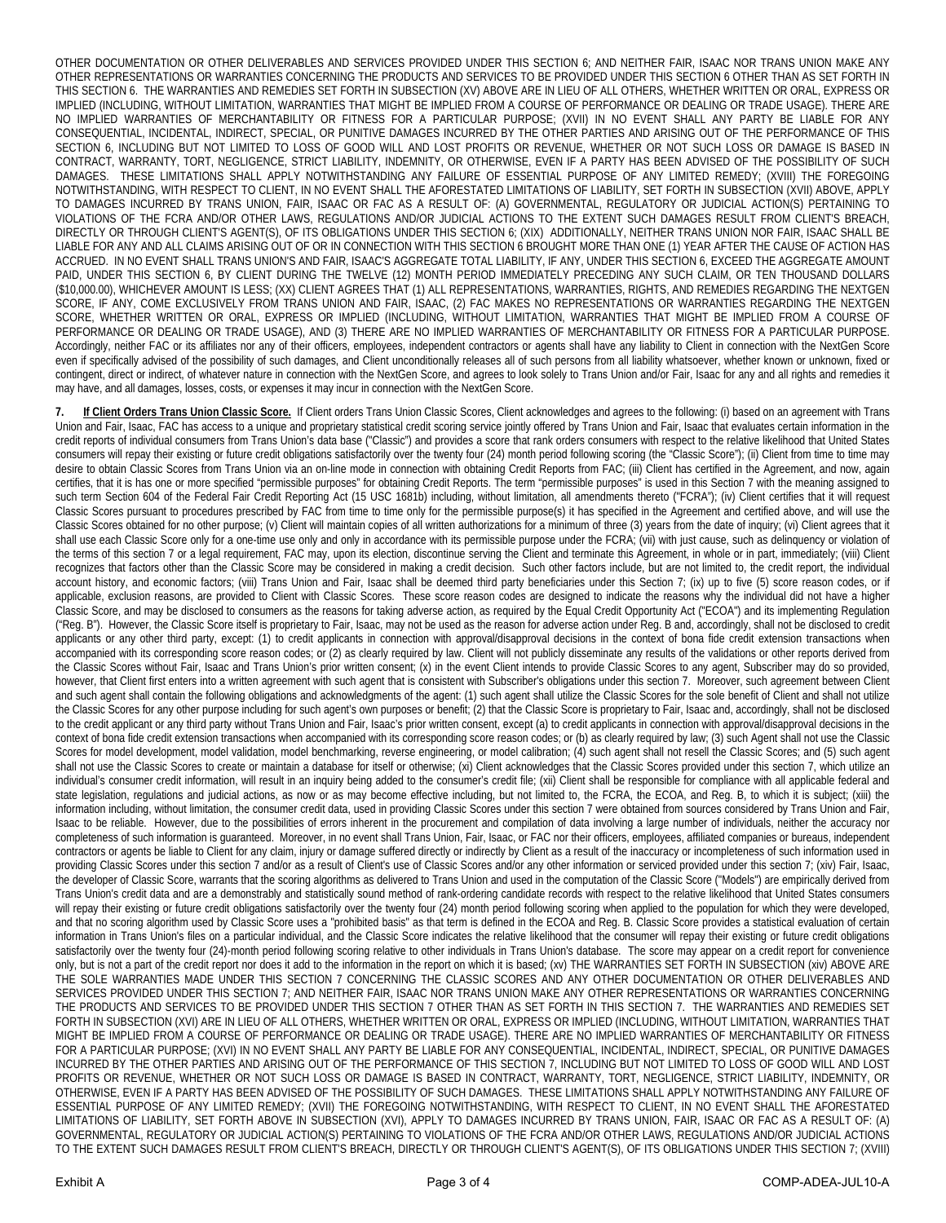OTHER DOCUMENTATION OR OTHER DELIVERABLES AND SERVICES PROVIDED UNDER THIS SECTION 6; AND NEITHER FAIR, ISAAC NOR TRANS UNION MAKE ANY OTHER REPRESENTATIONS OR WARRANTIES CONCERNING THE PRODUCTS AND SERVICES TO BE PROVIDED UNDER THIS SECTION 6 OTHER THAN AS SET FORTH IN THIS SECTION 6. THE WARRANTIES AND REMEDIES SET FORTH IN SUBSECTION (XV) ABOVE ARE IN LIEU OF ALL OTHERS, WHETHER WRITTEN OR ORAL, EXPRESS OR IMPLIED (INCLUDING, WITHOUT LIMITATION, WARRANTIES THAT MIGHT BE IMPLIED FROM A COURSE OF PERFORMANCE OR DEALING OR TRADE USAGE). THERE ARE NO IMPLIED WARRANTIES OF MERCHANTABILITY OR FITNESS FOR A PARTICULAR PURPOSE; (XVII) IN NO EVENT SHALL ANY PARTY BE LIABLE FOR ANY CONSEQUENTIAL, INCIDENTAL, INDIRECT, SPECIAL, OR PUNITIVE DAMAGES INCURRED BY THE OTHER PARTIES AND ARISING OUT OF THE PERFORMANCE OF THIS SECTION 6, INCLUDING BUT NOT LIMITED TO LOSS OF GOOD WILL AND LOST PROFITS OR REVENUE, WHETHER OR NOT SUCH LOSS OR DAMAGE IS BASED IN CONTRACT, WARRANTY, TORT, NEGLIGENCE, STRICT LIABILITY, INDEMNITY, OR OTHERWISE, EVEN IF A PARTY HAS BEEN ADVISED OF THE POSSIBILITY OF SUCH DAMAGES. THESE LIMITATIONS SHALL APPLY NOTWITHSTANDING ANY FAILURE OF ESSENTIAL PURPOSE OF ANY LIMITED REMEDY; (XVIII) THE FOREGOING NOTWITHSTANDING, WITH RESPECT TO CLIENT, IN NO EVENT SHALL THE AFORESTATED LIMITATIONS OF LIABILITY, SET FORTH IN SUBSECTION (XVII) ABOVE, APPLY TO DAMAGES INCURRED BY TRANS UNION, FAIR, ISAAC OR FAC AS A RESULT OF: (A) GOVERNMENTAL, REGULATORY OR JUDICIAL ACTION(S) PERTAINING TO VIOLATIONS OF THE FCRA AND/OR OTHER LAWS, REGULATIONS AND/OR JUDICIAL ACTIONS TO THE EXTENT SUCH DAMAGES RESULT FROM CLIENT'S BREACH, DIRECTLY OR THROUGH CLIENT'S AGENT(S), OF ITS OBLIGATIONS UNDER THIS SECTION 6; (XIX) ADDITIONALLY, NEITHER TRANS UNION NOR FAIR, ISAAC SHALL BE LIABLE FOR ANY AND ALL CLAIMS ARISING OUT OF OR IN CONNECTION WITH THIS SECTION 6 BROUGHT MORE THAN ONE (1) YEAR AFTER THE CAUSE OF ACTION HAS ACCRUED. IN NO EVENT SHALL TRANS UNION'S AND FAIR, ISAAC'S AGGREGATE TOTAL LIABILITY, IF ANY, UNDER THIS SECTION 6, EXCEED THE AGGREGATE AMOUNT PAID, UNDER THIS SECTION 6, BY CLIENT DURING THE TWELVE (12) MONTH PERIOD IMMEDIATELY PRECEDING ANY SUCH CLAIM, OR TEN THOUSAND DOLLARS (\$10,000.00), WHICHEVER AMOUNT IS LESS; (XX) CLIENT AGREES THAT (1) ALL REPRESENTATIONS, WARRANTIES, RIGHTS, AND REMEDIES REGARDING THE NEXTGEN SCORE, IF ANY, COME EXCLUSIVELY FROM TRANS UNION AND FAIR, ISAAC, (2) FAC MAKES NO REPRESENTATIONS OR WARRANTIES REGARDING THE NEXTGEN SCORE, WHETHER WRITTEN OR ORAL, EXPRESS OR IMPLIED (INCLUDING, WITHOUT LIMITATION, WARRANTIES THAT MIGHT BE IMPLIED FROM A COURSE OF PERFORMANCE OR DEALING OR TRADE USAGE), AND (3) THERE ARE NO IMPLIED WARRANTIES OF MERCHANTABILITY OR FITNESS FOR A PARTICULAR PURPOSE. Accordingly, neither FAC or its affiliates nor any of their officers, employees, independent contractors or agents shall have any liability to Client in connection with the NextGen Score even if specifically advised of the possibility of such damages, and Client unconditionally releases all of such persons from all liability whatsoever, whether known or unknown, fixed or contingent, direct or indirect, of whatever nature in connection with the NextGen Score, and agrees to look solely to Trans Union and/or Fair, Isaac for any and all rights and remedies it may have, and all damages, losses, costs, or expenses it may incur in connection with the NextGen Score.

**7. If Client Orders Trans Union Classic Score.** If Client orders Trans Union Classic Scores, Client acknowledges and agrees to the following: (i) based on an agreement with Trans Union and Fair, Isaac, FAC has access to a unique and proprietary statistical credit scoring service jointly offered by Trans Union and Fair, Isaac that evaluates certain information in the credit reports of individual consumers from Trans Union's data base ("Classic") and provides a score that rank orders consumers with respect to the relative likelihood that United States consumers will repay their existing or future credit obligations satisfactorily over the twenty four (24) month period following scoring (the "Classic Score"); (ii) Client from time to time may desire to obtain Classic Scores from Trans Union via an on-line mode in connection with obtaining Credit Reports from FAC; (iii) Client has certified in the Agreement, and now, again certifies, that it is has one or more specified "permissible purposes" for obtaining Credit Reports. The term "permissible purposes" is used in this Section 7 with the meaning assigned to such term Section 604 of the Federal Fair Credit Reporting Act (15 USC 1681b) including, without limitation, all amendments thereto ("FCRA"); (iv) Client certifies that it will request Classic Scores pursuant to procedures prescribed by FAC from time to time only for the permissible purpose(s) it has specified in the Agreement and certified above, and will use the Classic Scores obtained for no other purpose; (v) Client will maintain copies of all written authorizations for a minimum of three (3) years from the date of inquiry; (vi) Client agrees that it shall use each Classic Score only for a one-time use only and only in accordance with its permissible purpose under the FCRA; (vii) with just cause, such as delinquency or violation of the terms of this section 7 or a legal requirement, FAC may, upon its election, discontinue serving the Client and terminate this Agreement, in whole or in part, immediately; (viii) Client recognizes that factors other than the Classic Score may be considered in making a credit decision. Such other factors include, but are not limited to, the credit report, the individual account history, and economic factors; (viii) Trans Union and Fair, Isaac shall be deemed third party beneficiaries under this Section 7; (ix) up to five (5) score reason codes, or if applicable, exclusion reasons, are provided to Client with Classic Scores. These score reason codes are designed to indicate the reasons why the individual did not have a higher Classic Score, and may be disclosed to consumers as the reasons for taking adverse action, as required by the Equal Credit Opportunity Act ("ECOA") and its implementing Regulation ("Reg. B"). However, the Classic Score itself is proprietary to Fair, Isaac, may not be used as the reason for adverse action under Reg. B and, accordingly, shall not be disclosed to credit applicants or any other third party, except: (1) to credit applicants in connection with approval/disapproval decisions in the context of bona fide credit extension transactions when accompanied with its corresponding score reason codes; or (2) as clearly required by law. Client will not publicly disseminate any results of the validations or other reports derived from the Classic Scores without Fair, Isaac and Trans Union's prior written consent; (x) in the event Client intends to provide Classic Scores to any agent, Subscriber may do so provided, however, that Client first enters into a written agreement with such agent that is consistent with Subscriber's obligations under this section 7. Moreover, such agreement between Client and such agent shall contain the following obligations and acknowledgments of the agent: (1) such agent shall utilize the Classic Scores for the sole benefit of Client and shall not utilize the Classic Scores for any other purpose including for such agent's own purposes or benefit; (2) that the Classic Score is proprietary to Fair, Isaac and, accordingly, shall not be disclosed to the credit applicant or any third party without Trans Union and Fair, Isaac's prior written consent, except (a) to credit applicants in connection with approval/disapproval decisions in the context of bona fide credit extension transactions when accompanied with its corresponding score reason codes; or (b) as clearly required by law; (3) such Agent shall not use the Classic Scores for model development, model validation, model benchmarking, reverse engineering, or model calibration; (4) such agent shall not resell the Classic Scores; and (5) such agent shall not use the Classic Scores to create or maintain a database for itself or otherwise; (xi) Client acknowledges that the Classic Scores provided under this section 7, which utilize an individual's consumer credit information, will result in an inquiry being added to the consumer's credit file; (xii) Client shall be responsible for compliance with all applicable federal and state legislation, regulations and judicial actions, as now or as may become effective including, but not limited to, the FCRA, the ECOA, and Reg. B, to which it is subject; (xiii) the information including, without limitation, the consumer credit data, used in providing Classic Scores under this section 7 were obtained from sources considered by Trans Union and Fair, Isaac to be reliable. However, due to the possibilities of errors inherent in the procurement and compilation of data involving a large number of individuals, neither the accuracy nor completeness of such information is guaranteed. Moreover, in no event shall Trans Union, Fair, Isaac, or FAC nor their officers, employees, affiliated companies or bureaus, independent contractors or agents be liable to Client for any claim, injury or damage suffered directly or indirectly by Client as a result of the inaccuracy or incompleteness of such information used in providing Classic Scores under this section 7 and/or as a result of Client's use of Classic Scores and/or any other information or serviced provided under this section 7; (xiv) Fair, Isaac, the developer of Classic Score, warrants that the scoring algorithms as delivered to Trans Union and used in the computation of the Classic Score ("Models") are empirically derived from Trans Union's credit data and are a demonstrably and statistically sound method of rank-ordering candidate records with respect to the relative likelihood that United States consumers will repay their existing or future credit obligations satisfactorily over the twenty four (24) month period following scoring when applied to the population for which they were developed, and that no scoring algorithm used by Classic Score uses a "prohibited basis" as that term is defined in the ECOA and Reg. B. Classic Score provides a statistical evaluation of certain information in Trans Union's files on a particular individual, and the Classic Score indicates the relative likelihood that the consumer will repay their existing or future credit obligations satisfactorily over the twenty four (24)-month period following scoring relative to other individuals in Trans Union's database. The score may appear on a credit report for convenience only, but is not a part of the credit report nor does it add to the information in the report on which it is based; (xv) THE WARRANTIES SET FORTH IN SUBSECTION (xiv) ABOVE ARE THE SOLE WARRANTIES MADE UNDER THIS SECTION 7 CONCERNING THE CLASSIC SCORES AND ANY OTHER DOCUMENTATION OR OTHER DELIVERABLES AND SERVICES PROVIDED UNDER THIS SECTION 7; AND NEITHER FAIR, ISAAC NOR TRANS UNION MAKE ANY OTHER REPRESENTATIONS OR WARRANTIES CONCERNING THE PRODUCTS AND SERVICES TO BE PROVIDED UNDER THIS SECTION 7 OTHER THAN AS SET FORTH IN THIS SECTION 7. THE WARRANTIES AND REMEDIES SET FORTH IN SUBSECTION (XVI) ARE IN LIEU OF ALL OTHERS, WHETHER WRITTEN OR ORAL, EXPRESS OR IMPLIED (INCLUDING, WITHOUT LIMITATION, WARRANTIES THAT MIGHT BE IMPLIED FROM A COURSE OF PERFORMANCE OR DEALING OR TRADE USAGE). THERE ARE NO IMPLIED WARRANTIES OF MERCHANTABILITY OR FITNESS FOR A PARTICULAR PURPOSE; (XVI) IN NO EVENT SHALL ANY PARTY BE LIABLE FOR ANY CONSEQUENTIAL, INCIDENTAL, INDIRECT, SPECIAL, OR PUNITIVE DAMAGES INCURRED BY THE OTHER PARTIES AND ARISING OUT OF THE PERFORMANCE OF THIS SECTION 7, INCLUDING BUT NOT LIMITED TO LOSS OF GOOD WILL AND LOST PROFITS OR REVENUE, WHETHER OR NOT SUCH LOSS OR DAMAGE IS BASED IN CONTRACT, WARRANTY, TORT, NEGLIGENCE, STRICT LIABILITY, INDEMNITY, OR OTHERWISE, EVEN IF A PARTY HAS BEEN ADVISED OF THE POSSIBILITY OF SUCH DAMAGES. THESE LIMITATIONS SHALL APPLY NOTWITHSTANDING ANY FAILURE OF ESSENTIAL PURPOSE OF ANY LIMITED REMEDY; (XVII) THE FOREGOING NOTWITHSTANDING, WITH RESPECT TO CLIENT, IN NO EVENT SHALL THE AFORESTATED LIMITATIONS OF LIABILITY, SET FORTH ABOVE IN SUBSECTION (XVI), APPLY TO DAMAGES INCURRED BY TRANS UNION, FAIR, ISAAC OR FAC AS A RESULT OF: (A) GOVERNMENTAL, REGULATORY OR JUDICIAL ACTION(S) PERTAINING TO VIOLATIONS OF THE FCRA AND/OR OTHER LAWS, REGULATIONS AND/OR JUDICIAL ACTIONS TO THE EXTENT SUCH DAMAGES RESULT FROM CLIENT'S BREACH, DIRECTLY OR THROUGH CLIENT'S AGENT(S), OF ITS OBLIGATIONS UNDER THIS SECTION 7; (XVIII)